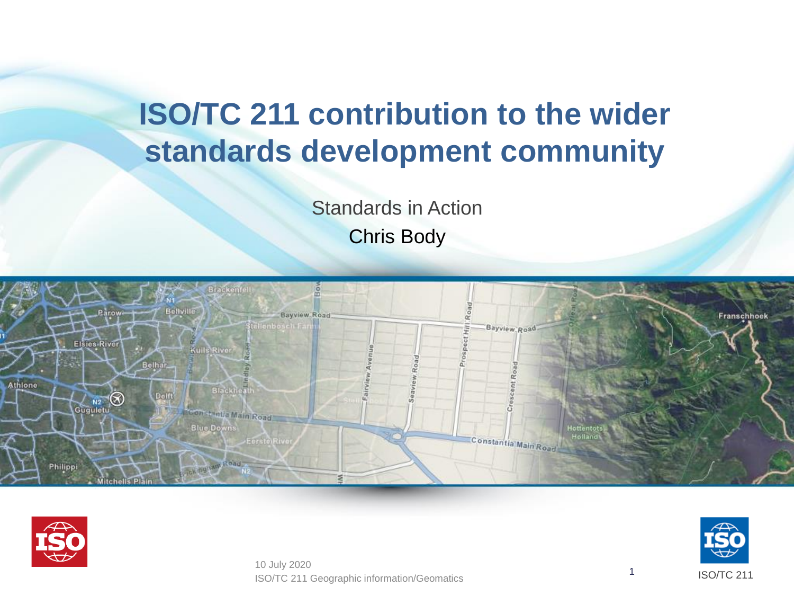## **ISO/TC 211 contribution to the wider standards development community**

Standards in Action Chris Body





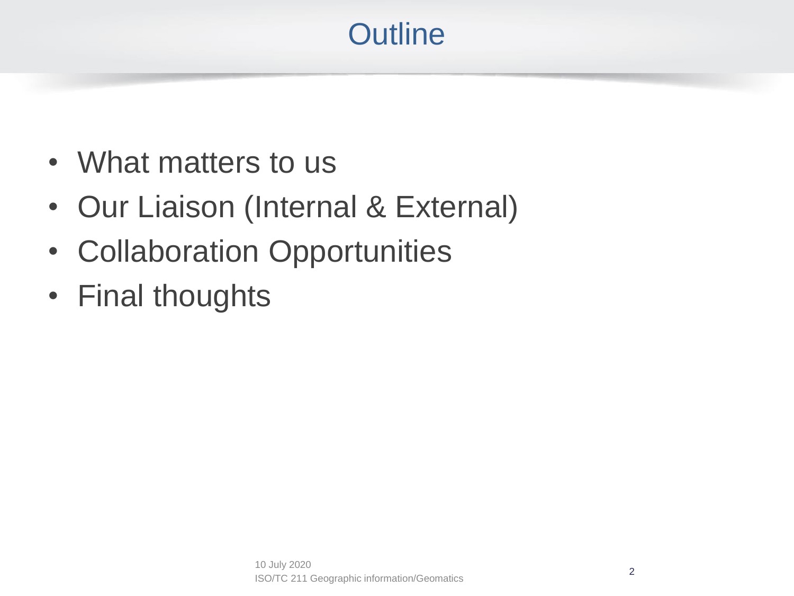# **Outline**

- What matters to us
- Our Liaison (Internal & External)
- Collaboration Opportunities
- Final thoughts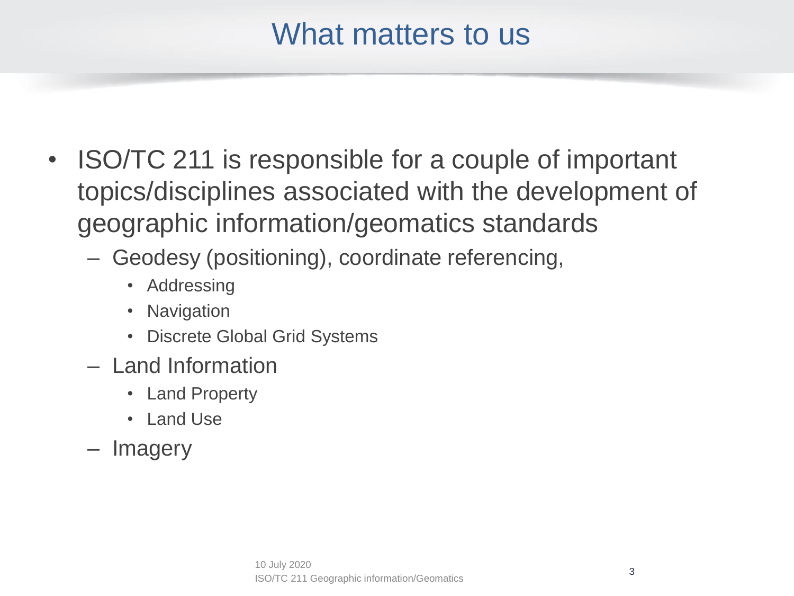#### What matters to us

- ISO/TC 211 is responsible for a couple of important topics/disciplines associated with the development of geographic information/geomatics standards
	- Geodesy (positioning), coordinate referencing,
		- Addressing
		- Navigation
		- Discrete Global Grid Systems
	- Land Information
		- Land Property
		- Land Use
	- **Imagery**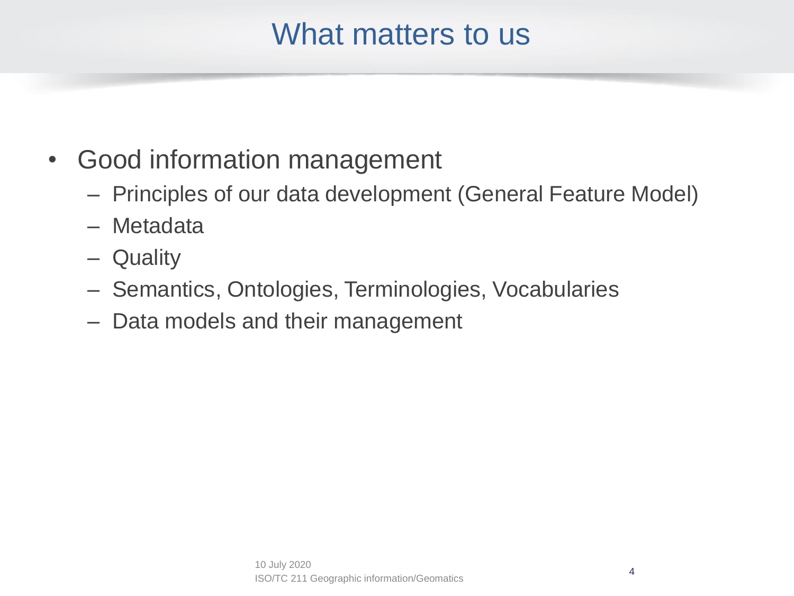#### What matters to us

- Good information management
	- Principles of our data development (General Feature Model)
	- Metadata
	- Quality
	- Semantics, Ontologies, Terminologies, Vocabularies
	- Data models and their management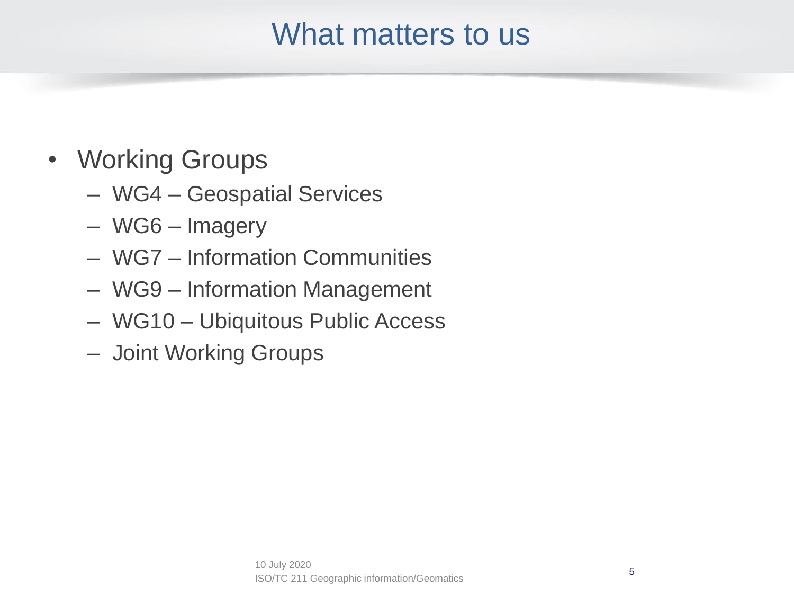#### What matters to us

- Working Groups
	- WG4 Geospatial Services
	- WG6 Imagery
	- WG7 Information Communities
	- WG9 Information Management
	- WG10 Ubiquitous Public Access
	- Joint Working Groups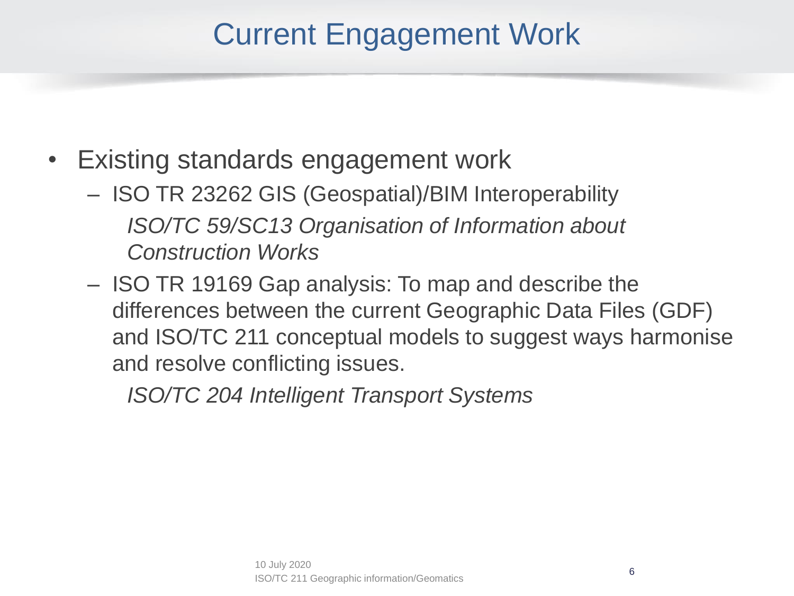- Existing standards engagement work
	- ISO TR 23262 GIS (Geospatial)/BIM Interoperability *ISO/TC 59/SC13 Organisation of Information about Construction Works*
	- ISO TR 19169 Gap analysis: To map and describe the differences between the current Geographic Data Files (GDF) and ISO/TC 211 conceptual models to suggest ways harmonise and resolve conflicting issues.

*ISO/TC 204 Intelligent Transport Systems*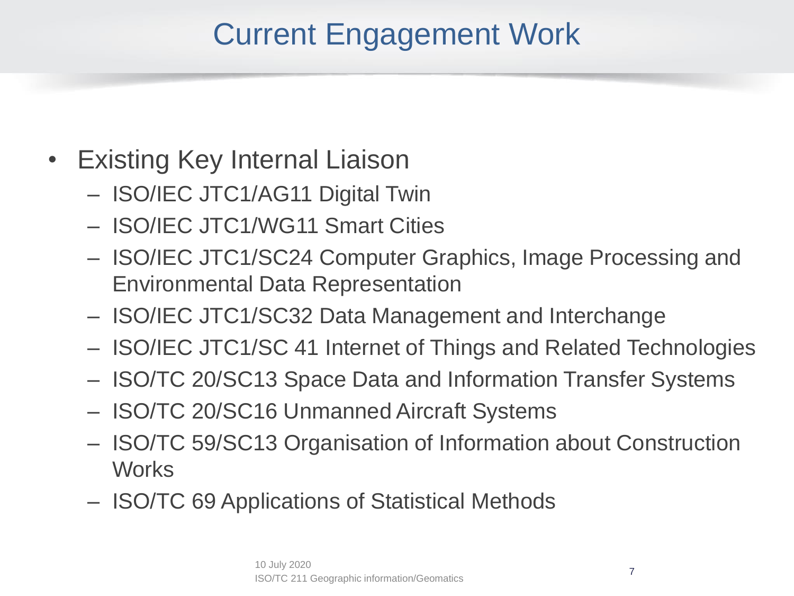- Existing Key Internal Liaison
	- ISO/IEC JTC1/AG11 Digital Twin
	- ISO/IEC JTC1/WG11 Smart Cities
	- ISO/IEC JTC1/SC24 Computer Graphics, Image Processing and Environmental Data Representation
	- ISO/IEC JTC1/SC32 Data Management and Interchange
	- ISO/IEC JTC1/SC 41 Internet of Things and Related Technologies
	- ISO/TC 20/SC13 Space Data and Information Transfer Systems
	- ISO/TC 20/SC16 Unmanned Aircraft Systems
	- ISO/TC 59/SC13 Organisation of Information about Construction **Works**
	- ISO/TC 69 Applications of Statistical Methods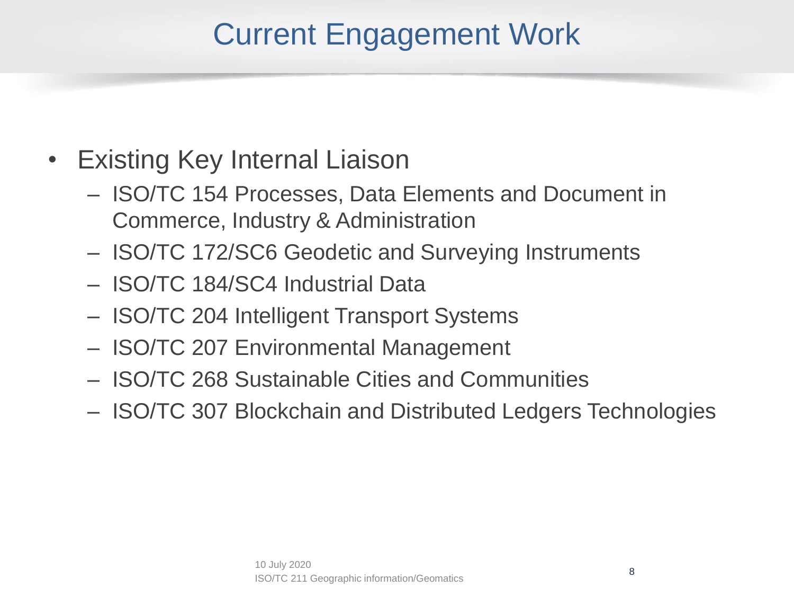- Existing Key Internal Liaison
	- ISO/TC 154 Processes, Data Elements and Document in Commerce, Industry & Administration
	- ISO/TC 172/SC6 Geodetic and Surveying Instruments
	- ISO/TC 184/SC4 Industrial Data
	- ISO/TC 204 Intelligent Transport Systems
	- ISO/TC 207 Environmental Management
	- ISO/TC 268 Sustainable Cities and Communities
	- ISO/TC 307 Blockchain and Distributed Ledgers Technologies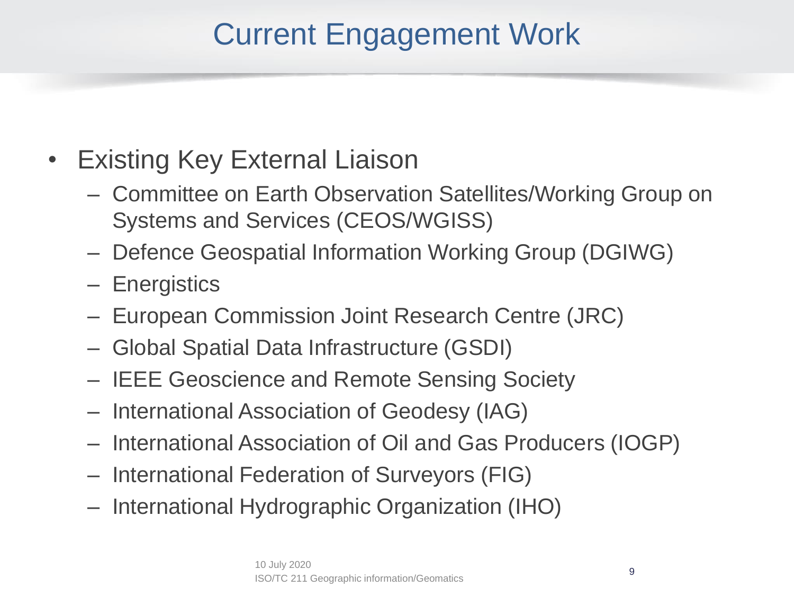- Existing Key External Liaison
	- Committee on Earth Observation Satellites/Working Group on Systems and Services (CEOS/WGISS)
	- Defence Geospatial Information Working Group (DGIWG)
	- Energistics
	- European Commission Joint Research Centre (JRC)
	- Global Spatial Data Infrastructure (GSDI)
	- IEEE Geoscience and Remote Sensing Society
	- International Association of Geodesy (IAG)
	- International Association of Oil and Gas Producers (IOGP)
	- International Federation of Surveyors (FIG)
	- International Hydrographic Organization (IHO)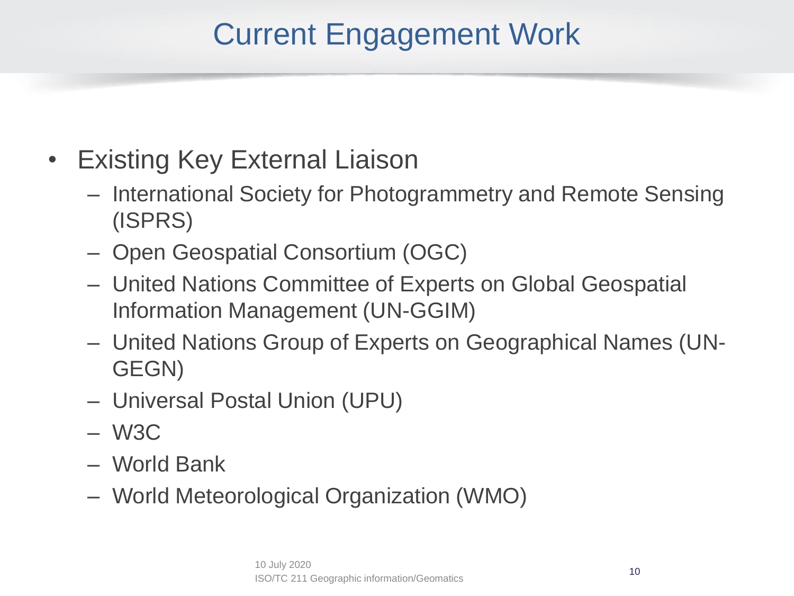- Existing Key External Liaison
	- International Society for Photogrammetry and Remote Sensing (ISPRS)
	- Open Geospatial Consortium (OGC)
	- United Nations Committee of Experts on Global Geospatial Information Management (UN-GGIM)
	- United Nations Group of Experts on Geographical Names (UN-GEGN)
	- Universal Postal Union (UPU)
	- W3C
	- World Bank
	- World Meteorological Organization (WMO)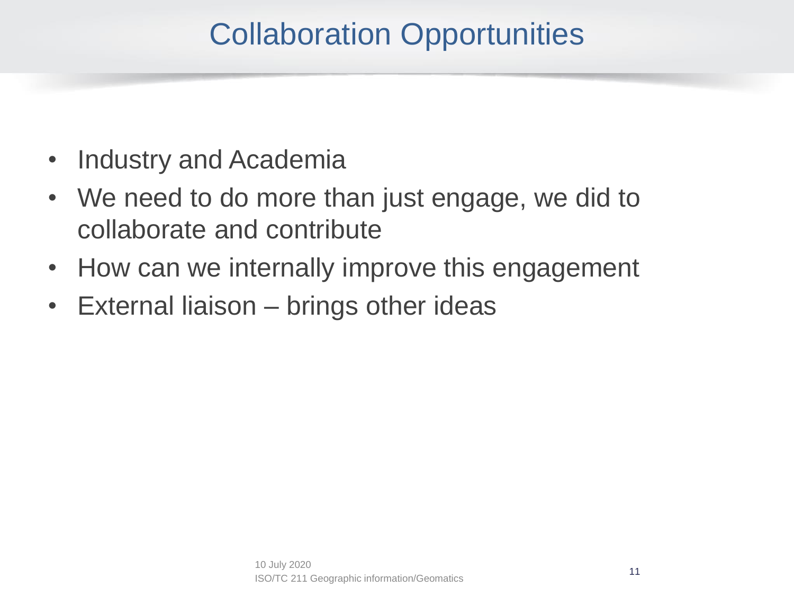# Collaboration Opportunities

- Industry and Academia
- We need to do more than just engage, we did to collaborate and contribute
- How can we internally improve this engagement
- External liaison brings other ideas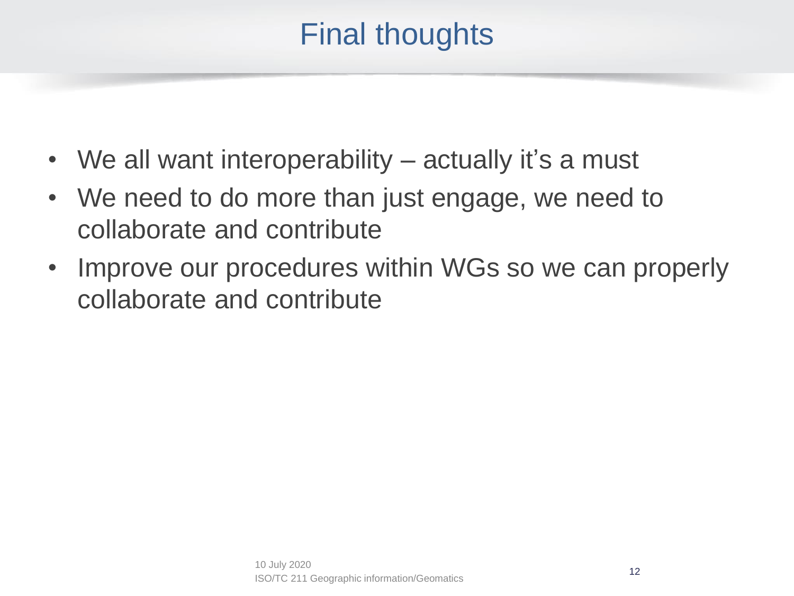#### Final thoughts

- We all want interoperability actually it's a must
- We need to do more than just engage, we need to collaborate and contribute
- Improve our procedures within WGs so we can properly collaborate and contribute